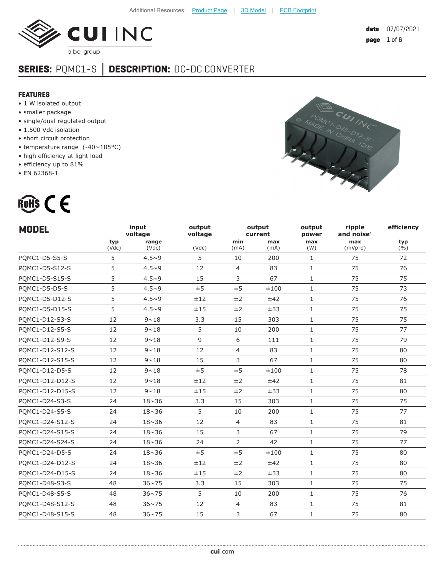

# **SERIES:** PQMC1-S **│ DESCRIPTION:** DC-DC CONVERTER

#### **FEATURES**

- 1 W isolated output
- smaller package
- single/dual regulated output
- 1,500 Vdc isolation
- short circuit protection
- temperature range (-40~105°C)
- high efficiency at light load

- efficiency up to 81%
- EN 62368-1



| <b>MODEL</b>    |              | input<br>voltage | output<br>voltage |                | output<br>current | output<br>power | ripple<br>and noise $1$ | efficiency   |
|-----------------|--------------|------------------|-------------------|----------------|-------------------|-----------------|-------------------------|--------------|
|                 | typ<br>(Vdc) | range<br>(Vdc)   | (Vdc)             | min<br>(mA)    | max<br>(mA)       | max<br>(W)      | max<br>$(mVp-p)$        | typ<br>(9/0) |
| PQMC1-D5-S5-S   | 5            | $4.5 - 9$        | 5                 | 10             | 200               | $\mathbf{1}$    | 75                      | 72           |
| PQMC1-D5-S12-S  | 5            | $4.5 - 9$        | 12                | $\overline{4}$ | 83                | $\mathbf{1}$    | 75                      | 76           |
| PQMC1-D5-S15-S  | 5            | $4.5 - 9$        | 15                | 3              | 67                | $\mathbf{1}$    | 75                      | 75           |
| PQMC1-D5-D5-S   | 5            | $4.5 - 9$        | ±5                | ±5             | ±100              | $\mathbf{1}$    | 75                      | 73           |
| PQMC1-D5-D12-S  | 5            | $4.5 - 9$        | ±12               | ±2             | ±42               | $\mathbf{1}$    | 75                      | 76           |
| PQMC1-D5-D15-S  | 5            | $4.5 - 9$        | ±15               | ±2             | ±33               | $\mathbf{1}$    | 75                      | 75           |
| PQMC1-D12-S3-S  | 12           | $9 \sim 18$      | 3.3               | 15             | 303               | $\mathbf{1}$    | 75                      | 75           |
| PQMC1-D12-S5-S  | 12           | $9 \sim 18$      | 5                 | 10             | 200               | $\mathbf{1}$    | 75                      | 77           |
| PQMC1-D12-S9-S  | 12           | $9 \sim 18$      | 9                 | 6              | 111               | $\mathbf{1}$    | 75                      | 79           |
| PQMC1-D12-S12-S | 12           | $9 \sim 18$      | 12                | $\overline{4}$ | 83                | $\mathbf{1}$    | 75                      | 80           |
| PQMC1-D12-S15-S | 12           | $9 \sim 18$      | 15                | 3              | 67                | $\mathbf{1}$    | 75                      | 80           |
| PQMC1-D12-D5-S  | 12           | $9 \sim 18$      | ±5                | ±5             | ±100              | $\mathbf{1}$    | 75                      | 78           |
| PQMC1-D12-D12-S | 12           | $9 \sim 18$      | ±12               | ±2             | ±42               | $\mathbf{1}$    | 75                      | 81           |
| PQMC1-D12-D15-S | 12           | $9 \sim 18$      | ±15               | ±2             | ±33               | $\mathbf{1}$    | 75                      | 80           |
| PQMC1-D24-S3-S  | 24           | $18 \sim 36$     | 3.3               | 15             | 303               | $\mathbf{1}$    | 75                      | 75           |
| PQMC1-D24-S5-S  | 24           | $18 \sim 36$     | 5                 | 10             | 200               | $\mathbf{1}$    | 75                      | 77           |
| PQMC1-D24-S12-S | 24           | $18 \sim 36$     | 12                | $\overline{4}$ | 83                | $\mathbf{1}$    | 75                      | 81           |
| PQMC1-D24-S15-S | 24           | $18 \sim 36$     | 15                | 3              | 67                | $\mathbf{1}$    | 75                      | 79           |
| PQMC1-D24-S24-S | 24           | $18 \sim 36$     | 24                | 2              | 42                | $\mathbf{1}$    | 75                      | 77           |
| PQMC1-D24-D5-S  | 24           | $18 \sim 36$     | ±5                | ±5             | ±100              | $\mathbf{1}$    | 75                      | 80           |
| PQMC1-D24-D12-S | 24           | $18 \sim 36$     | ±12               | ±2             | ±42               | $\mathbf{1}$    | 75                      | 80           |
| PQMC1-D24-D15-S | 24           | $18 \sim 36$     | ±15               | ±2             | ±33               | $\mathbf{1}$    | 75                      | 80           |
| PQMC1-D48-S3-S  | 48           | $36 \sim 75$     | 3.3               | 15             | 303               | $\mathbf{1}$    | 75                      | 75           |
| PQMC1-D48-S5-S  | 48           | $36 \sim 75$     | 5                 | 10             | 200               | $\mathbf{1}$    | 75                      | 76           |
| PQMC1-D48-S12-S | 48           | $36 \sim 75$     | 12                | 4              | 83                | $\mathbf{1}$    | 75                      | 81           |
| POMC1-D48-S15-S | 48           | $36 \sim 75$     | 15                | $\overline{3}$ | 67                | $\mathbf{1}$    | 75                      | 80           |

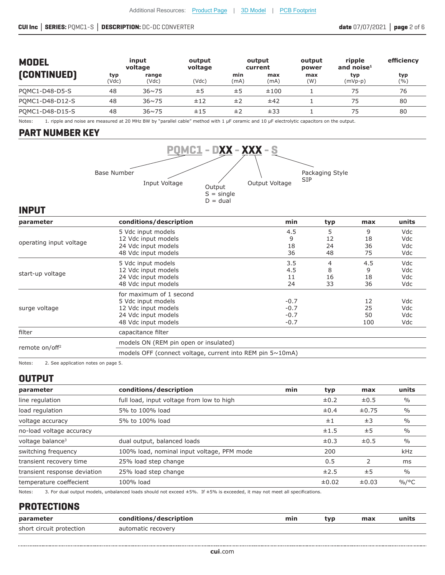#### **CUI Inc │ SERIES:** PQMC1-S **│ DESCRIPTION:** DC-DC CONVERTER **date** 07/07/2021 **│ page** 2 of 6

| <b>MODEL</b>       |              | input<br>voltage | output<br>voltage |             | output<br>current | output<br>power | ripple<br>and noise $1$ | efficiency  |
|--------------------|--------------|------------------|-------------------|-------------|-------------------|-----------------|-------------------------|-------------|
| <b>[CONTINUED]</b> | typ<br>(Vdc) | range<br>(Vdc)   | (Vdc)             | min<br>(mA) | max<br>(mA)       | max<br>(W)      | typ<br>$(mVp-p)$        | typ<br>( %) |
| POMC1-D48-D5-S     | 48           | $36 \times 75$   | ±5                | ±5          | ±100              |                 | 75                      | 76          |
| POMC1-D48-D12-S    | 48           | $36 \times 75$   | ±12               | ±2          | ±42               |                 | 75                      | 80          |
| POMC1-D48-D15-S    | 48           | $36 \times 75$   | ±15               | ±2          | ±33               |                 | 75                      | 80          |

Notes: 1. ripple and noise are measured at 20 MHz BW by "parallel cable" method with 1 μF ceramic and 10 μF electrolytic capacitors on the output.

## **PART NUMBER KEY**



#### **INPUT**

| conditions/description                | min | typ                                                       | max | units      |
|---------------------------------------|-----|-----------------------------------------------------------|-----|------------|
| 5 Vdc input models                    | 4.5 | 5                                                         | 9   | Vdc        |
| 12 Vdc input models                   | 9   | 12                                                        | 18  | Vdc        |
| 24 Vdc input models                   | 18  | 24                                                        | 36  | Vdc        |
| 48 Vdc input models                   | 36  | 48                                                        | 75  | Vdc        |
| 5 Vdc input models                    | 3.5 | 4                                                         | 4.5 | Vdc        |
| 12 Vdc input models                   | 4.5 | 8                                                         | 9   | Vdc        |
| 24 Vdc input models                   | 11  | 16                                                        | 18  | Vdc        |
| 48 Vdc input models                   | 24  | 33<br>$-0.7$<br>$-0.7$<br>$-0.7$<br>$-0.7$                | 36  | Vdc        |
| for maximum of 1 second               |     |                                                           |     |            |
| 5 Vdc input models                    |     |                                                           | 12  | Vdc        |
| 12 Vdc input models                   |     |                                                           | 25  | Vdc        |
| 24 Vdc input models                   |     |                                                           | 50  | <b>Vdc</b> |
| 48 Vdc input models                   |     |                                                           | 100 | Vdc        |
| capacitance filter                    |     |                                                           |     |            |
| models ON (REM pin open or insulated) |     |                                                           |     |            |
|                                       |     |                                                           |     |            |
|                                       |     | models OFF (connect voltage, current into REM pin 5~10mA) |     |            |

Notes: 2. See application notes on page 5.

# **OUTPUT**

| parameter                    | conditions/description                     | min | typ       | max       | units         |
|------------------------------|--------------------------------------------|-----|-----------|-----------|---------------|
| line regulation              | full load, input voltage from low to high  |     | $\pm 0.2$ | $\pm 0.5$ | $\%$          |
| load regulation              | 5% to 100% load                            |     | $\pm 0.4$ | ±0.75     | $\%$          |
| voltage accuracy             | 5% to 100% load                            |     | ±1        | ±3        | $\%$          |
| no-load voltage accuracy     |                                            |     | ±1.5      | ±5        | $\frac{0}{0}$ |
| voltage balance <sup>3</sup> | dual output, balanced loads                |     | $\pm 0.3$ | $\pm 0.5$ | $\%$          |
| switching frequency          | 100% load, nominal input voltage, PFM mode |     | 200       |           | kHz           |
| transient recovery time      | 25% load step change                       |     | 0.5       |           | ms            |
| transient response deviation | 25% load step change                       |     | ±2.5      | ±5        | $\%$          |
| temperature coeffecient      | 100% load                                  |     | ±0.02     | ±0.03     | $\%$ /°C      |

Notes: 3. For dual output models, unbalanced loads should not exceed ±5%. If ±5% is exceeded, it may not meet all specifications.

#### **PROTECTIONS**

| parameter                | conditions/description | min | tvp | max | units |
|--------------------------|------------------------|-----|-----|-----|-------|
| short circuit protection | automatic recovery     |     |     |     |       |
|                          |                        |     |     |     |       |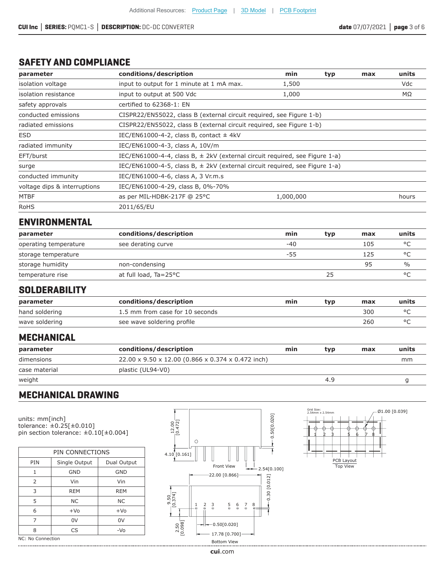## **SAFETY AND COMPLIANCE**

| parameter                    | conditions/description                                                          | min       | typ | max | units      |
|------------------------------|---------------------------------------------------------------------------------|-----------|-----|-----|------------|
| isolation voltage            | input to output for 1 minute at 1 mA max.                                       | 1,500     |     |     | <b>Vdc</b> |
| isolation resistance         | input to output at 500 Vdc                                                      | 1,000     |     |     | ΜΩ         |
| safety approvals             | certified to 62368-1: EN                                                        |           |     |     |            |
| conducted emissions          | CISPR22/EN55022, class B (external circuit required, see Figure 1-b)            |           |     |     |            |
| radiated emissions           | CISPR22/EN55022, class B (external circuit required, see Figure 1-b)            |           |     |     |            |
| <b>ESD</b>                   | IEC/EN61000-4-2, class B, contact $\pm$ 4kV                                     |           |     |     |            |
| radiated immunity            | IEC/EN61000-4-3, class A, 10V/m                                                 |           |     |     |            |
| EFT/burst                    | IEC/EN61000-4-4, class B, $\pm$ 2kV (external circuit required, see Figure 1-a) |           |     |     |            |
| surge                        | IEC/EN61000-4-5, class B, $\pm$ 2kV (external circuit required, see Figure 1-a) |           |     |     |            |
| conducted immunity           | IEC/EN61000-4-6, class A, 3 Vr.m.s                                              |           |     |     |            |
| voltage dips & interruptions | IEC/EN61000-4-29, class B, 0%-70%                                               |           |     |     |            |
| <b>MTBF</b>                  | as per MIL-HDBK-217F @ 25°C                                                     | 1,000,000 |     |     | hours      |
| <b>RoHS</b>                  | 2011/65/EU                                                                      |           |     |     |            |

# **ENVIRONMENTAL**

| parameter             | conditions/description | min   | typ | max | units         |
|-----------------------|------------------------|-------|-----|-----|---------------|
| operating temperature | see derating curve     | $-40$ |     | 105 | $\circ$       |
| storage temperature   |                        | -55   |     | 125 | $\circ$       |
| storage humidity      | non-condensing         |       |     | 95  | $\frac{0}{0}$ |
| temperature rise      | at full load, Ta=25°C  |       |     |     | $\circ$       |

## **SOLDERABILITY**

| parameter      | conditions/description          | min | tvp | max | units |
|----------------|---------------------------------|-----|-----|-----|-------|
| hand soldering | 1.5 mm from case for 10 seconds |     |     | 300 |       |
| wave soldering | see wave soldering profile      |     |     | 260 |       |

## **MECHANICAL**

| parameter     | conditions/description                            | min | tvp | max | units |
|---------------|---------------------------------------------------|-----|-----|-----|-------|
| dimensions    | 22.00 x 9.50 x 12.00 (0.866 x 0.374 x 0.472 inch) |     |     |     | mm    |
| case material | plastic (UL94-V0)                                 |     |     |     |       |
| weight        |                                                   |     | 4.9 |     |       |

# **MECHANICAL DRAWING**

units: mm[inch] tolerance: ±0.25[±0.010] pin section tolerance:  $\pm 0.10$ [ $\pm 0.004$ ]

| PIN CONNECTIONS           |               |             |  |  |  |  |
|---------------------------|---------------|-------------|--|--|--|--|
| PIN                       | Single Output | Dual Output |  |  |  |  |
| 1                         | <b>GND</b>    | <b>GND</b>  |  |  |  |  |
| 2                         | Vin           | Vin         |  |  |  |  |
| 3                         | <b>REM</b>    | REM         |  |  |  |  |
| 5                         | <b>NC</b>     | <b>NC</b>   |  |  |  |  |
| 6                         | $+VO$         | $+Vo$       |  |  |  |  |
| 7                         | 0V            | 0V          |  |  |  |  |
| 8                         | CS            | $-VO$       |  |  |  |  |
| $NC: M \cap Conpartition$ |               |             |  |  |  |  |

NC: No Connection 





**cui**[.com](https://www.cui.com/track?actionLabel=Datasheet-ClickThrough-HomePage&label=PQMC1-S.pdf&path=/)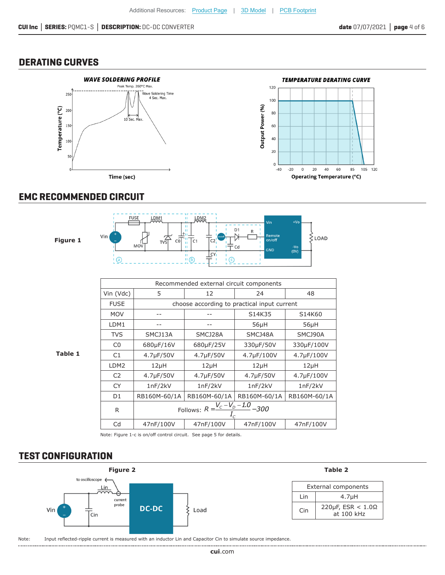## **DERATING CURVES**



#### **EMC RECOMMENDED CIRCUIT**



Note: Figure 1-c is on/off control circuit. See page 5 for details.

## **TEST CONFIGURATION**

...................

![](_page_3_Figure_9.jpeg)

Cd 47nF/100V 47nF/100V 47nF/100V 47nF/100V

Note: Input reflected-ripple current is measured with an inductor Lin and Capacitor Cin to simulate source impedance.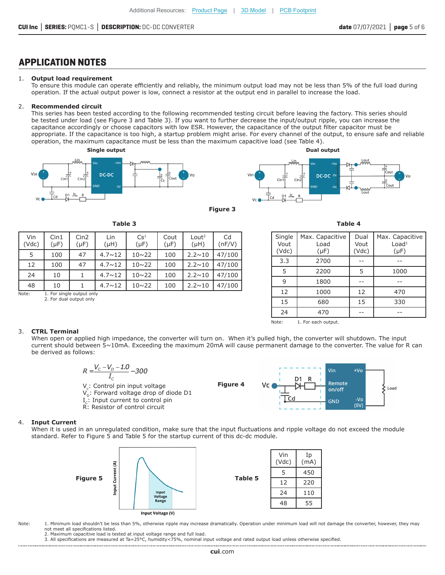# **APPLICATION NOTES**

#### 1. **Output load requirement**

To ensure this module can operate efficiently and reliably, the minimum output load may not be less than 5% of the full load during operation. If the actual output power is low, connect a resistor at the output end in parallel to increase the load.

#### 2. **Recommended circuit**

This series has been tested according to the following recommended testing circuit before leaving the factory. This series should be tested under load (see Figure 3 and Table 3). If you want to further decrease the input/output ripple, you can increase the capacitance accordingly or choose capacitors with low ESR. However, the capacitance of the output filter capacitor must be appropriate. If the capacitance is too high, a startup problem might arise. For every channel of the output, to ensure safe and reliable operation, the maximum capacitance must be less than the maximum capacitive load (see Table 4).

![](_page_4_Figure_8.jpeg)

**Table 3**

 $Cs<sup>1</sup>$  $(\mu F)$ 

5 100 47 4.7~12 10~22 100 2.2~10 47/100 12 100 47 4.7~12 10~22 100 2.2~10 47/100 24 | 10 | 1 |4.7∼12 | 10∼22 | 100 |2.2∼10 |47/100

Cout  $(\mu F)$ 

Lout<sup>2</sup>  $(\mu H)$ 

Lin  $(\mu H)$ 

![](_page_4_Figure_9.jpeg)

![](_page_4_Figure_10.jpeg)

Cd (nF/V) **Table 4**

| Single<br>Vout<br>(Vdc) | Max. Capacitive<br>Load<br>$(\mu F)$ | Dual<br>Vout<br>(Vdc) | Max. Capacitive<br>Load <sup>1</sup><br>$(\mu F)$ |
|-------------------------|--------------------------------------|-----------------------|---------------------------------------------------|
| 3.3                     | 2700                                 |                       |                                                   |
| 5                       | 2200                                 | 5                     | 1000                                              |
| 9                       | 1800                                 |                       |                                                   |
| 12                      | 1000                                 | 12                    | 470                                               |
| 15                      | 680                                  | 15                    | 330                                               |
| 24                      | 470                                  |                       |                                                   |

Note: 1. For each output.

#### 48 10 1 4.7~12 10~22 100 2.2~10 47/100 Note: 1. For single output only

Cin1  $(\mu F)$  Cin2  $(\mu F)$ 

2. For dual output only

#### 3. **CTRL Terminal**

Vin (Vdc)

> When open or applied high impedance, the converter will turn on. When it's pulled high, the converter will shutdown. The input current should between 5~10mA. Exceeding the maximum 20mA will cause permanent damage to the converter. The value for R can be derived as follows:

![](_page_4_Figure_18.jpeg)

#### 4. **Input Current**

When it is used in an unregulated condition, make sure that the input fluctuations and ripple voltage do not exceed the module standard. Refer to Figure 5 and Table 5 for the startup current of this dc-dc module.

![](_page_4_Figure_21.jpeg)

Note: 1. Minimum load shouldn't be less than 5%, otherwise ripple may increase dramatically. Operation under minimum load will not damage the converter, however, they may not meet all specifications listed.

2. Maximum capacitive load is tested at input voltage range and full load.

3. All specifications are measured at Ta=25°C, humidity<75%, nominal input voltage and rated output load unless otherwise specified.